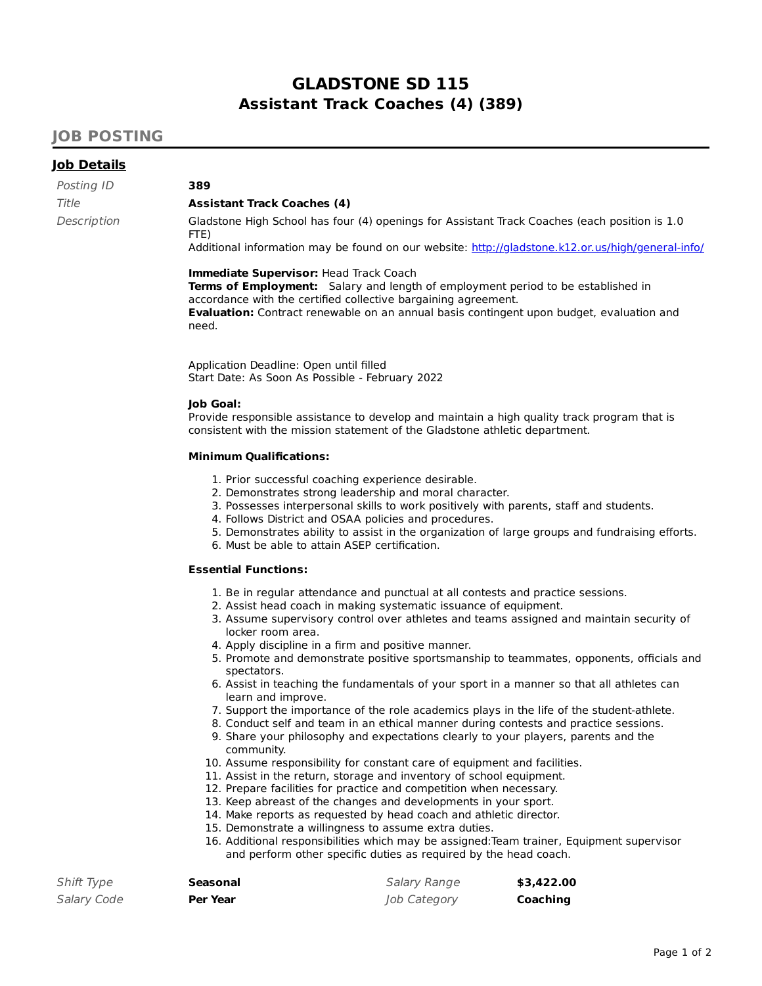# **GLADSTONE SD 115 Assistant Track Coaches (4) (389)**

## **JOB POSTING**

### **Job Details**

Posting ID **389**

#### Title **Assistant Track Coaches (4)**

Description Gladstone High School has four (4) openings for Assistant Track Coaches (each position is 1.0 FTE)

Additional information may be found on our website: http://gladstone.k12.or.us/high/general-info/

#### **Immediate Supervisor:** Head Track Coach

**Terms of Employment:** Salary and length of employment period to be established in accordance with the certified collective bargaining agreement. **Evaluation:** Contract renewable on an annual basis contingent upon budget, evaluation and need.

Application Deadline: Open until filled Start Date: As Soon As Possible - February 2022

#### **Job Goal:**

Provide responsible assistance to develop and maintain a high quality track program that is consistent with the mission statement of the Gladstone athletic department.

#### **Minimum Qualifications:**

- 1. Prior successful coaching experience desirable.
- 2. Demonstrates strong leadership and moral character.
- 3. Possesses interpersonal skills to work positively with parents, staff and students.
- 4. Follows District and OSAA policies and procedures.
- 5. Demonstrates ability to assist in the organization of large groups and fundraising efforts.
- 6. Must be able to attain ASEP certification.

#### **Essential Functions:**

- 1. Be in regular attendance and punctual at all contests and practice sessions.
- 2. Assist head coach in making systematic issuance of equipment.
- 3. Assume supervisory control over athletes and teams assigned and maintain security of locker room area.
- 4. Apply discipline in a firm and positive manner.
- 5. Promote and demonstrate positive sportsmanship to teammates, opponents, officials and spectators.
- 6. Assist in teaching the fundamentals of your sport in a manner so that all athletes can learn and improve.
- 7. Support the importance of the role academics plays in the life of the student-athlete.
- 8. Conduct self and team in an ethical manner during contests and practice sessions.
- 9. Share your philosophy and expectations clearly to your players, parents and the community.
- 10. Assume responsibility for constant care of equipment and facilities.
- 11. Assist in the return, storage and inventory of school equipment.
- 12. Prepare facilities for practice and competition when necessary.
- 13. Keep abreast of the changes and developments in your sport.
- 14. Make reports as requested by head coach and athletic director.
- 15. Demonstrate a willingness to assume extra duties.
- 16. Additional responsibilities which may be assigned:Team trainer, Equipment supervisor and perform other specific duties as required by the head coach.

| Shift Type  | Seasonal        | Salary Range | \$3,422.00 |
|-------------|-----------------|--------------|------------|
| Salary Code | <b>Per Year</b> | Job Category | Coaching   |